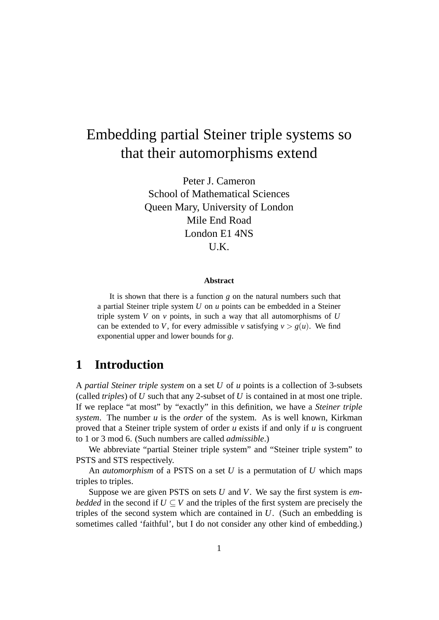# Embedding partial Steiner triple systems so that their automorphisms extend

Peter J. Cameron School of Mathematical Sciences Queen Mary, University of London Mile End Road London E1 4NS U.K.

#### **Abstract**

It is shown that there is a function *g* on the natural numbers such that a partial Steiner triple system *U* on *u* points can be embedded in a Steiner triple system *V* on *v* points, in such a way that all automorphisms of *U* can be extended to *V*, for every admissible *v* satisfying  $v > g(u)$ . We find exponential upper and lower bounds for *g*.

# **1 Introduction**

A *partial Steiner triple system* on a set *U* of *u* points is a collection of 3-subsets (called *triples*) of *U* such that any 2-subset of *U* is contained in at most one triple. If we replace "at most" by "exactly" in this definition, we have a *Steiner triple system*. The number *u* is the *order* of the system. As is well known, Kirkman proved that a Steiner triple system of order *u* exists if and only if *u* is congruent to 1 or 3 mod 6. (Such numbers are called *admissible*.)

We abbreviate "partial Steiner triple system" and "Steiner triple system" to PSTS and STS respectively.

An *automorphism* of a PSTS on a set *U* is a permutation of *U* which maps triples to triples.

Suppose we are given PSTS on sets *U* and *V*. We say the first system is *embedded* in the second if  $U \subseteq V$  and the triples of the first system are precisely the triples of the second system which are contained in *U*. (Such an embedding is sometimes called 'faithful', but I do not consider any other kind of embedding.)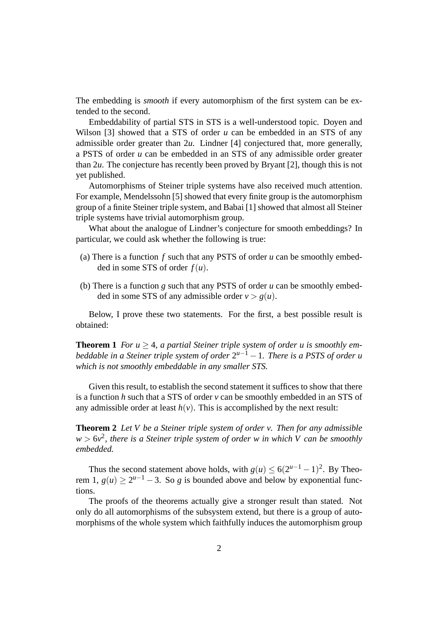The embedding is *smooth* if every automorphism of the first system can be extended to the second.

Embeddability of partial STS in STS is a well-understood topic. Doyen and Wilson [3] showed that a STS of order *u* can be embedded in an STS of any admissible order greater than 2*u*. Lindner [4] conjectured that, more generally, a PSTS of order *u* can be embedded in an STS of any admissible order greater than 2*u*. The conjecture has recently been proved by Bryant [2], though this is not yet published.

Automorphisms of Steiner triple systems have also received much attention. For example, Mendelssohn [5] showed that every finite group is the automorphism group of a finite Steiner triple system, and Babai [1] showed that almost all Steiner triple systems have trivial automorphism group.

What about the analogue of Lindner's conjecture for smooth embeddings? In particular, we could ask whether the following is true:

- (a) There is a function *f* such that any PSTS of order *u* can be smoothly embedded in some STS of order *f*(*u*).
- (b) There is a function *g* such that any PSTS of order *u* can be smoothly embedded in some STS of any admissible order  $v > g(u)$ .

Below, I prove these two statements. For the first, a best possible result is obtained:

**Theorem 1** *For*  $u \geq 4$ *, a partial Steiner triple system of order u is smoothly embeddable in a Steiner triple system of order*  $2^{u-1}$  − 1*. There is a PSTS of order u which is not smoothly embeddable in any smaller STS.*

Given this result, to establish the second statement it suffices to show that there is a function *h* such that a STS of order *v* can be smoothly embedded in an STS of any admissible order at least  $h(v)$ . This is accomplished by the next result:

**Theorem 2** *Let V be a Steiner triple system of order v. Then for any admissible*  $w > 6v^2$ , there is a Steiner triple system of order w in which V can be smoothly *embedded.*

Thus the second statement above holds, with  $g(u) \le 6(2^{u-1} - 1)^2$ . By Theorem 1,  $g(u) \ge 2^{u-1} - 3$ . So *g* is bounded above and below by exponential functions.

The proofs of the theorems actually give a stronger result than stated. Not only do all automorphisms of the subsystem extend, but there is a group of automorphisms of the whole system which faithfully induces the automorphism group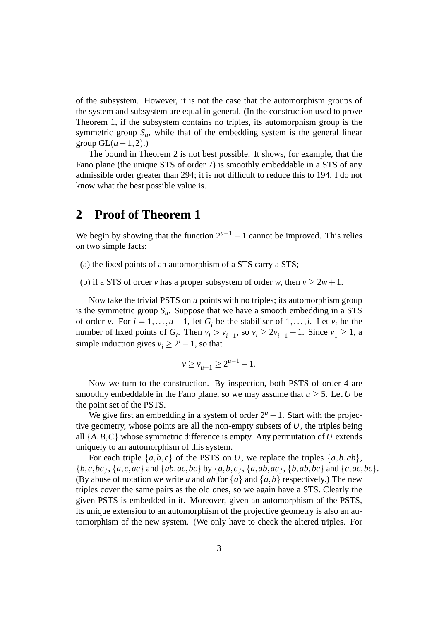of the subsystem. However, it is not the case that the automorphism groups of the system and subsystem are equal in general. (In the construction used to prove Theorem 1, if the subsystem contains no triples, its automorphism group is the symmetric group  $S_u$ , while that of the embedding system is the general linear group  $GL(u-1,2)$ .)

The bound in Theorem 2 is not best possible. It shows, for example, that the Fano plane (the unique STS of order 7) is smoothly embeddable in a STS of any admissible order greater than 294; it is not difficult to reduce this to 194. I do not know what the best possible value is.

#### **2 Proof of Theorem 1**

We begin by showing that the function  $2^{u-1} - 1$  cannot be improved. This relies on two simple facts:

(a) the fixed points of an automorphism of a STS carry a STS;

(b) if a STS of order *v* has a proper subsystem of order *w*, then  $v \ge 2w + 1$ .

Now take the trivial PSTS on *u* points with no triples; its automorphism group is the symmetric group  $S_u$ . Suppose that we have a smooth embedding in a STS of order *v*. For  $i = 1, ..., u - 1$ , let  $G_i$  be the stabiliser of  $1, ..., i$ . Let  $v_i$  be the number of fixed points of  $G_i$ . Then  $v_i > v_{i-1}$ , so  $v_i \ge 2v_{i-1} + 1$ . Since  $v_1 \ge 1$ , a simple induction gives  $v_i \geq 2^i - 1$ , so that

$$
v \ge v_{u-1} \ge 2^{u-1} - 1.
$$

Now we turn to the construction. By inspection, both PSTS of order 4 are smoothly embeddable in the Fano plane, so we may assume that  $u \geq 5$ . Let *U* be the point set of the PSTS.

We give first an embedding in a system of order  $2^u - 1$ . Start with the projective geometry, whose points are all the non-empty subsets of *U*, the triples being all  $\{A, B, C\}$  whose symmetric difference is empty. Any permutation of *U* extends uniquely to an automorphism of this system.

For each triple  $\{a,b,c\}$  of the PSTS on *U*, we replace the triples  $\{a,b,ab\}$ ,  $\{b,c,bc\}, \{a,c,ac\}$  and  $\{ab,ac,bc\}$  by  $\{a,b,c\}, \{a,ab,ac\}, \{b,ab,bc\}$  and  $\{c,ac,bc\}.$ (By abuse of notation we write *a* and *ab* for  $\{a\}$  and  $\{a,b\}$  respectively.) The new triples cover the same pairs as the old ones, so we again have a STS. Clearly the given PSTS is embedded in it. Moreover, given an automorphism of the PSTS, its unique extension to an automorphism of the projective geometry is also an automorphism of the new system. (We only have to check the altered triples. For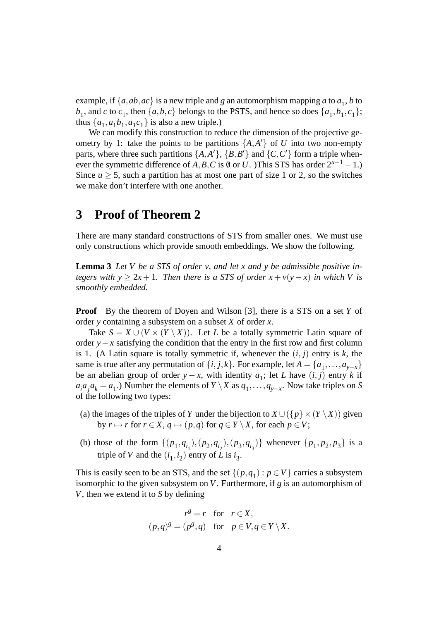example, if  $\{a, ab, ac\}$  is a new triple and *g* an automorphism mapping *a* to  $a_1$ , *b* to  $b_1$ , and *c* to  $c_1$ , then  $\{a,b,c\}$  belongs to the PSTS, and hence so does  $\{a_1,b_1,c_1\}$ ; thus  $\{a_1, a_1b_1, a_1c_1\}$  is also a new triple.)

We can modify this construction to reduce the dimension of the projective geometry by 1: take the points to be partitions  $\{A, A'\}$  of *U* into two non-empty parts, where three such partitions  $\{A, A'\}$ ,  $\{B, B'\}$  and  $\{C, C'\}$  form a triple whenever the symmetric difference of *A*,*B*,*C* is  $\emptyset$  or *U*. )This STS has order  $2^{u-1} - 1$ .) Since  $u > 5$ , such a partition has at most one part of size 1 or 2, so the switches we make don't interfere with one another.

### **3 Proof of Theorem 2**

There are many standard constructions of STS from smaller ones. We must use only constructions which provide smooth embeddings. We show the following.

**Lemma 3** *Let V be a STS of order v, and let x and y be admissible positive integers with*  $y > 2x + 1$ *. Then there is a STS of order*  $x + v(y - x)$  *in which* V *is smoothly embedded.*

**Proof** By the theorem of Doyen and Wilson [3], there is a STS on a set *Y* of order *y* containing a subsystem on a subset *X* of order *x*.

Take  $S = X \cup (V \times (Y \setminus X))$ . Let *L* be a totally symmetric Latin square of order *y*−*x* satisfying the condition that the entry in the first row and first column is 1. (A Latin square is totally symmetric if, whenever the  $(i, j)$  entry is  $k$ , the same is true after any permutation of  $\{i, j, k\}$ . For example, let  $A = \{a_1, \ldots, a_{y-x}\}$ be an abelian group of order *y* − *x*, with identity  $a_1$ ; let *L* have  $(i, j)$  entry *k* if  $a_i a_j a_k = a_1$ .) Number the elements of *Y* \ *X* as  $q_1, \ldots, q_{y-x}$ . Now take triples on *S* of the following two types:

- (a) the images of the triples of *Y* under the bijection to  $X \cup (\{p\} \times (Y \setminus X))$  given by  $r \mapsto r$  for  $r \in X$ ,  $q \mapsto (p,q)$  for  $q \in Y \setminus X$ , for each  $p \in V$ ;
- (b) those of the form  $\{(p_1, q_{i_1}), (p_2, q_{i_2}), (p_3, q_{i_3})\}$  whenever  $\{p_1, p_2, p_3\}$  is a triple of *V* and the  $(i_1, i_2)$  entry of *L* is  $i_3$ .

This is easily seen to be an STS, and the set  $\{(p,q_1) : p \in V\}$  carries a subsystem isomorphic to the given subsystem on *V*. Furthermore, if *g* is an automorphism of *V*, then we extend it to *S* by defining

$$
r^{g} = r \text{ for } r \in X,
$$
  
\n
$$
(p,q)^{g} = (p^{g}, q) \text{ for } p \in V, q \in Y \setminus X.
$$